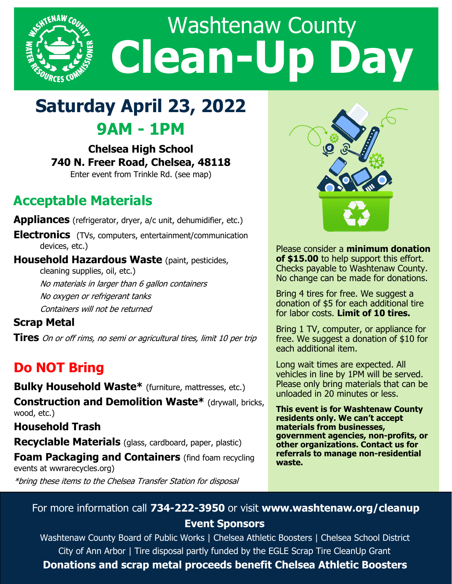

## **Saturday April 23, 2022 9AM - 1PM**

**Chelsea High School 740 N. Freer Road, Chelsea, 48118** Enter event from Trinkle Rd. (see map)

## **Acceptable Materials**

**Appliances** (refrigerator, dryer, a/c unit, dehumidifier, etc.)

**Electronics** (TVs, computers, entertainment/communication devices, etc.)

**Household Hazardous Waste** (paint, pesticides, cleaning supplies, oil, etc.) No materials in larger than 6 gallon containers No oxygen or refrigerant tanks Containers will not be returned

**Scrap Metal**

**Tires** On or off rims, no semi or agricultural tires, limit 10 per trip

## **Do NOT Bring**

**Bulky Household Waste\*** (furniture, mattresses, etc.)

**Construction and Demolition Waste\*** (drywall, bricks, wood, etc.)

**Household Trash**

**Recyclable Materials** (glass, cardboard, paper, plastic)

**Foam Packaging and Containers** (find foam recycling events at wwrarecycles.org)

\*bring these items to the Chelsea Transfer Station for disposal



Please consider a **minimum donation of \$15.00** to help support this effort. Checks payable to Washtenaw County. No change can be made for donations.

Bring 4 tires for free. We suggest a donation of \$5 for each additional tire for labor costs. **Limit of 10 tires.**

Bring 1 TV, computer, or appliance for free. We suggest a donation of \$10 for each additional item.

Long wait times are expected. All vehicles in line by 1PM will be served. Please only bring materials that can be unloaded in 20 minutes or less.

**This event is for Washtenaw County residents only. We can't accept materials from businesses, government agencies, non-profits, or other organizations. Contact us for referrals to manage non-residential waste.** 

## For more information call **734-222-3950** or visit **www.washtenaw.org/cleanup Event Sponsors**

Washtenaw County Board of Public Works | Chelsea Athletic Boosters | Chelsea School District City of Ann Arbor | Tire disposal partly funded by the EGLE Scrap Tire CleanUp Grant **Donations and scrap metal proceeds benefit Chelsea Athletic Boosters**